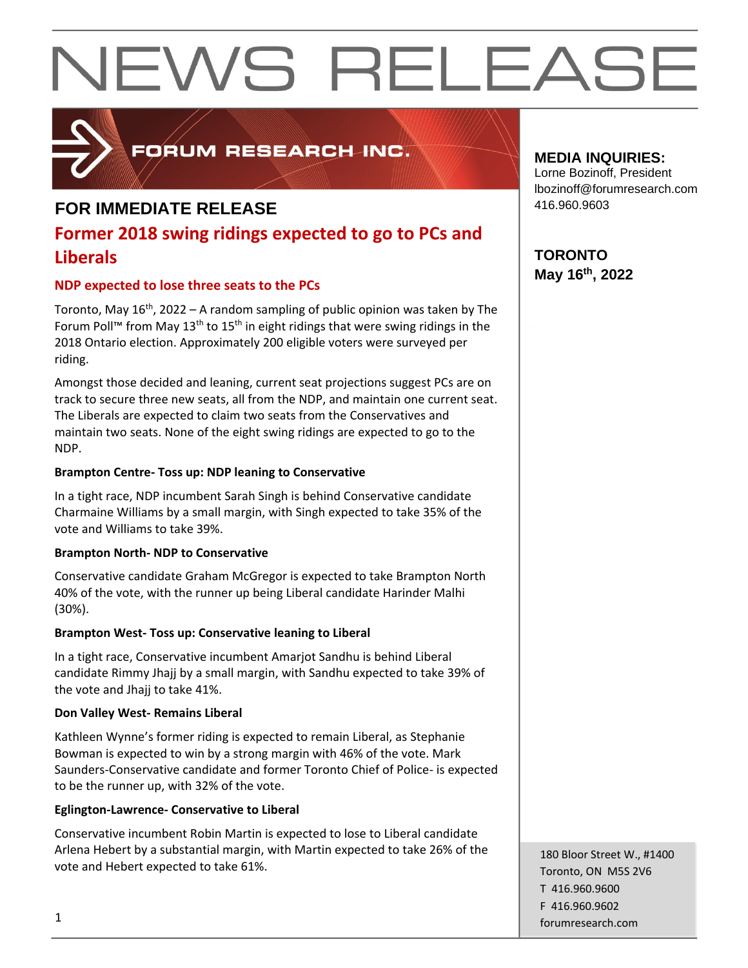

### FORUM RESEARCH INC.

#### **FOR IMMEDIATE RELEASE**

### **Former 2018 swing ridings expected to go to PCs and Liberals**

#### **NDP expected to lose three seats to the PCs**

Toronto, May  $16<sup>th</sup>$ , 2022 – A random sampling of public opinion was taken by The Forum Poll™ from May 13<sup>th</sup> to 15<sup>th</sup> in eight ridings that were swing ridings in the 2018 Ontario election. Approximately 200 eligible voters were surveyed per riding.

Amongst those decided and leaning, current seat projections suggest PCs are on track to secure three new seats, all from the NDP, and maintain one current seat. The Liberals are expected to claim two seats from the Conservatives and maintain two seats. None of the eight swing ridings are expected to go to the NDP.

#### **Brampton Centre- Toss up: NDP leaning to Conservative**

In a tight race, NDP incumbent Sarah Singh is behind Conservative candidate Charmaine Williams by a small margin, with Singh expected to take 35% of the vote and Williams to take 39%.

#### **Brampton North- NDP to Conservative**

Conservative candidate Graham McGregor is expected to take Brampton North 40% of the vote, with the runner up being Liberal candidate Harinder Malhi (30%).

#### **Brampton West- Toss up: Conservative leaning to Liberal**

In a tight race, Conservative incumbent Amarjot Sandhu is behind Liberal candidate Rimmy Jhajj by a small margin, with Sandhu expected to take 39% of the vote and Jhajj to take 41%.

#### **Don Valley West- Remains Liberal**

Kathleen Wynne's former riding is expected to remain Liberal, as Stephanie Bowman is expected to win by a strong margin with 46% of the vote. Mark Saunders-Conservative candidate and former Toronto Chief of Police- is expected to be the runner up, with 32% of the vote.

#### **Eglington-Lawrence- Conservative to Liberal**

Conservative incumbent Robin Martin is expected to lose to Liberal candidate Arlena Hebert by a substantial margin, with Martin expected to take 26% of the vote and Hebert expected to take 61%.

**MEDIA INQUIRIES:**

Lorne Bozinoff, President lbozinoff@forumresearch.com 416.960.9603

**TORONTO May 16th, 2022**

180 Bloor Street W., #1400 Toronto, ON M5S 2V6 T 416.960.9600 F 416.960.9602 forumresearch.com 1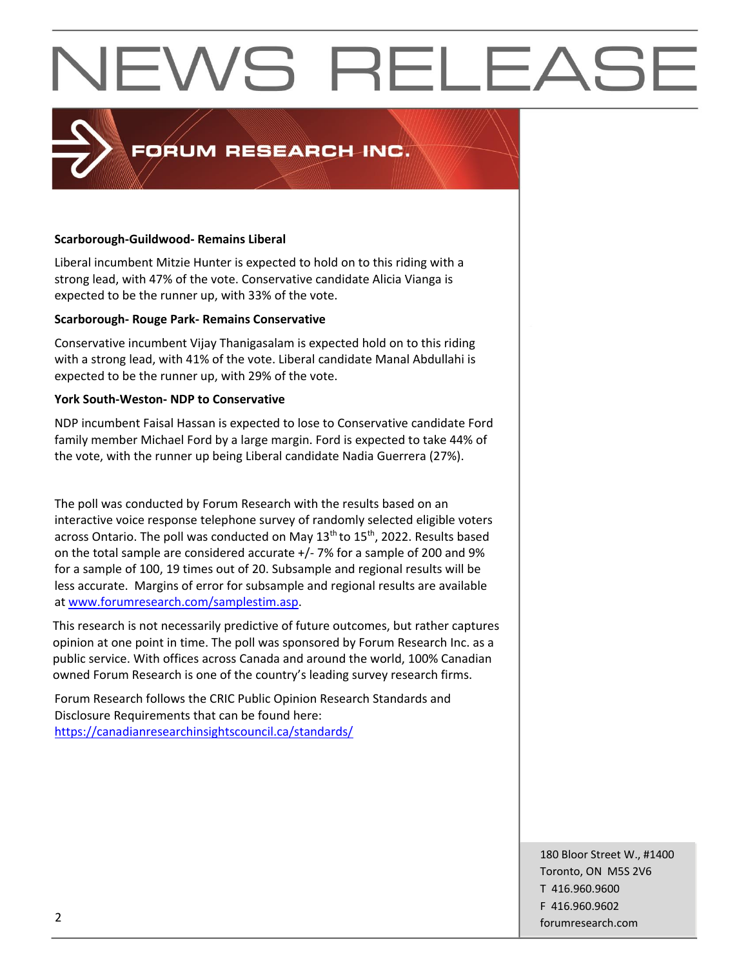### **PORUM RESEARCH INC.**

#### **Scarborough-Guildwood- Remains Liberal**

Liberal incumbent Mitzie Hunter is expected to hold on to this riding with a strong lead, with 47% of the vote. Conservative candidate Alicia Vianga is expected to be the runner up, with 33% of the vote.

#### **Scarborough- Rouge Park- Remains Conservative**

Conservative incumbent Vijay Thanigasalam is expected hold on to this riding with a strong lead, with 41% of the vote. Liberal candidate Manal Abdullahi is expected to be the runner up, with 29% of the vote.

#### **York South-Weston- NDP to Conservative**

NDP incumbent Faisal Hassan is expected to lose to Conservative candidate Ford family member Michael Ford by a large margin. Ford is expected to take 44% of the vote, with the runner up being Liberal candidate Nadia Guerrera (27%).

The poll was conducted by Forum Research with the results based on an interactive voice response telephone survey of randomly selected eligible voters across Ontario. The poll was conducted on May 13<sup>th</sup> to 15<sup>th</sup>, 2022. Results based on the total sample are considered accurate +/- 7% for a sample of 200 and 9% for a sample of 100, 19 times out of 20. Subsample and regional results will be less accurate. Margins of error for subsample and regional results are available at [www.forumresearch.com/samplestim.asp.](http://www.forumresearch.com/samplestim.asp)

This research is not necessarily predictive of future outcomes, but rather captures opinion at one point in time. The poll was sponsored by Forum Research Inc. as a public service. With offices across Canada and around the world, 100% Canadian owned Forum Research is one of the country's leading survey research firms.

Forum Research follows the CRIC Public Opinion Research Standards and Disclosure Requirements that can be found here: <https://canadianresearchinsightscouncil.ca/standards/>

180 Bloor Street W., #1400 Toronto, ON M5S 2V6 T 416.960.9600 F 416.960.9602 example to the contract of the contract of the contract of the contract of the contract of the contract of the contract of the contract of the contract of the contract of the contract of the contract of the contract of the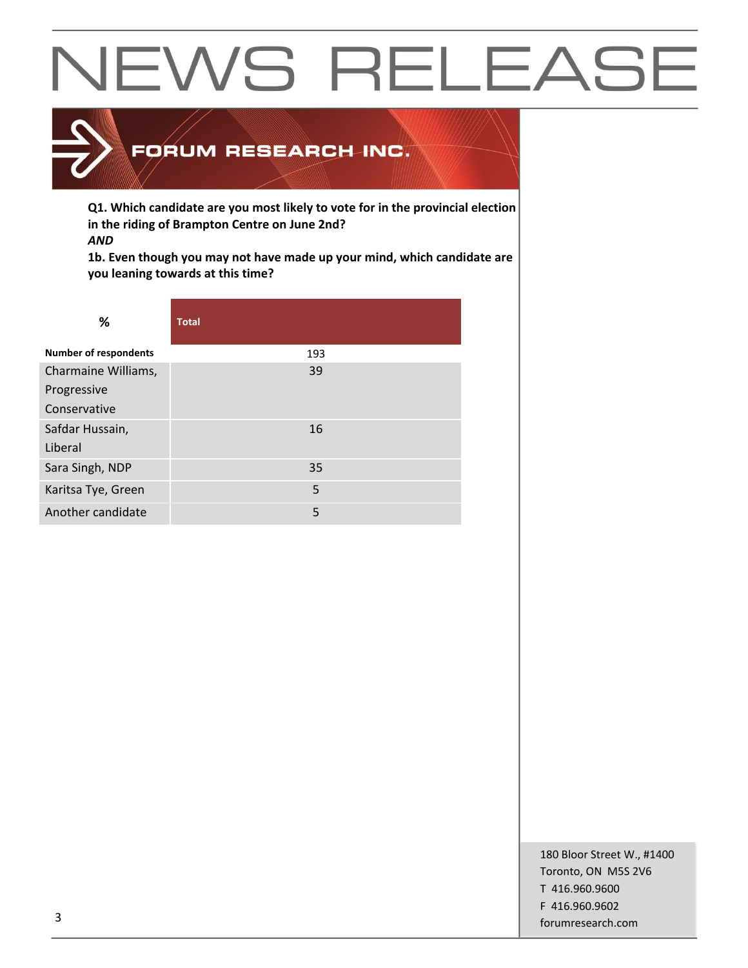

**Q1. Which candidate are you most likely to vote for in the provincial election in the riding of Brampton Centre on June 2nd?** *AND*

**1b. Even though you may not have made up your mind, which candidate are you leaning towards at this time?**

| %                            | <b>Total</b> |
|------------------------------|--------------|
| <b>Number of respondents</b> | 193          |
| Charmaine Williams,          | 39           |
| Progressive                  |              |
| Conservative                 |              |
| Safdar Hussain,              | 16           |
| Liberal                      |              |
| Sara Singh, NDP              | 35           |
| Karitsa Tye, Green           | 5            |
| Another candidate            | 5            |

180 Bloor Street W., #1400 Toronto, ON M5S 2V6 T 416.960.9600 F 416.960.9602 forumresearch.com and the set of the set of the set of the set of the set of the set of the set of the set of the set of the set of the set of the set of the set of the set of the set of the set of the set of the set of th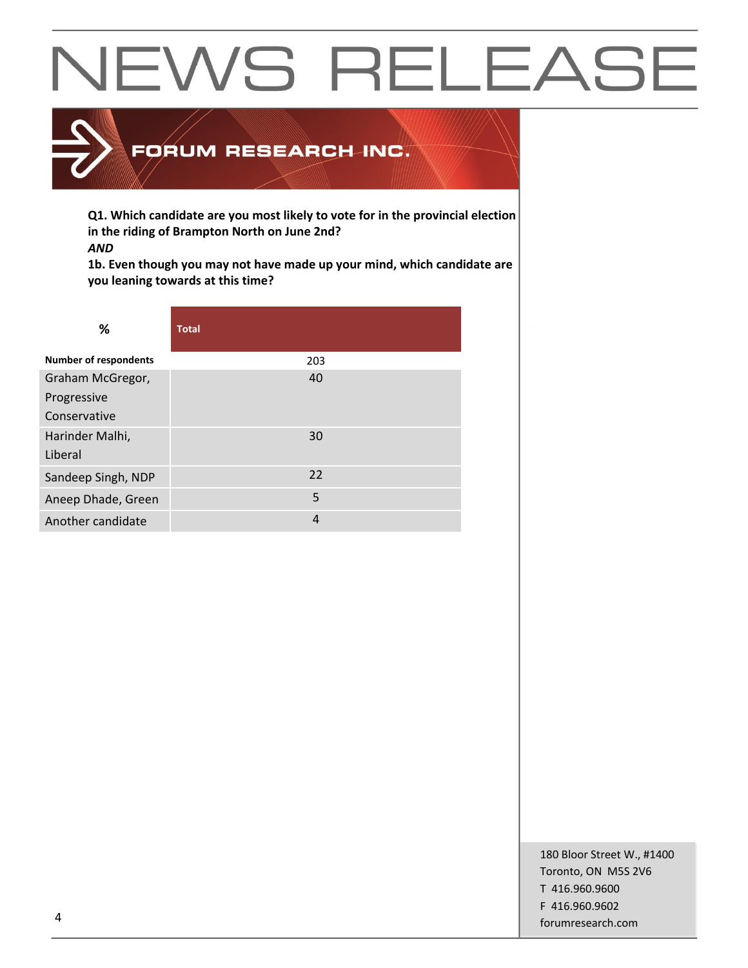

**Q1. Which candidate are you most likely to vote for in the provincial election in the riding of Brampton North on June 2nd?** *AND*

**1b. Even though you may not have made up your mind, which candidate are you leaning towards at this time?**

| ℅                            | <b>Total</b> |
|------------------------------|--------------|
| <b>Number of respondents</b> | 203          |
| Graham McGregor,             | 40           |
| Progressive                  |              |
| Conservative                 |              |
| Harinder Malhi,              | 30           |
| Liberal                      |              |
| Sandeep Singh, NDP           | 22           |
| Aneep Dhade, Green           | 5            |
| Another candidate            | 4            |

180 Bloor Street W., #1400 Toronto, ON M5S 2V6 T 416.960.9600 F 416.960.9602 example to the contract of the contract of the contract of the contract of the contract of the contract of the contract of the contract of the contract of the contract of the contract of the contract of the contract of the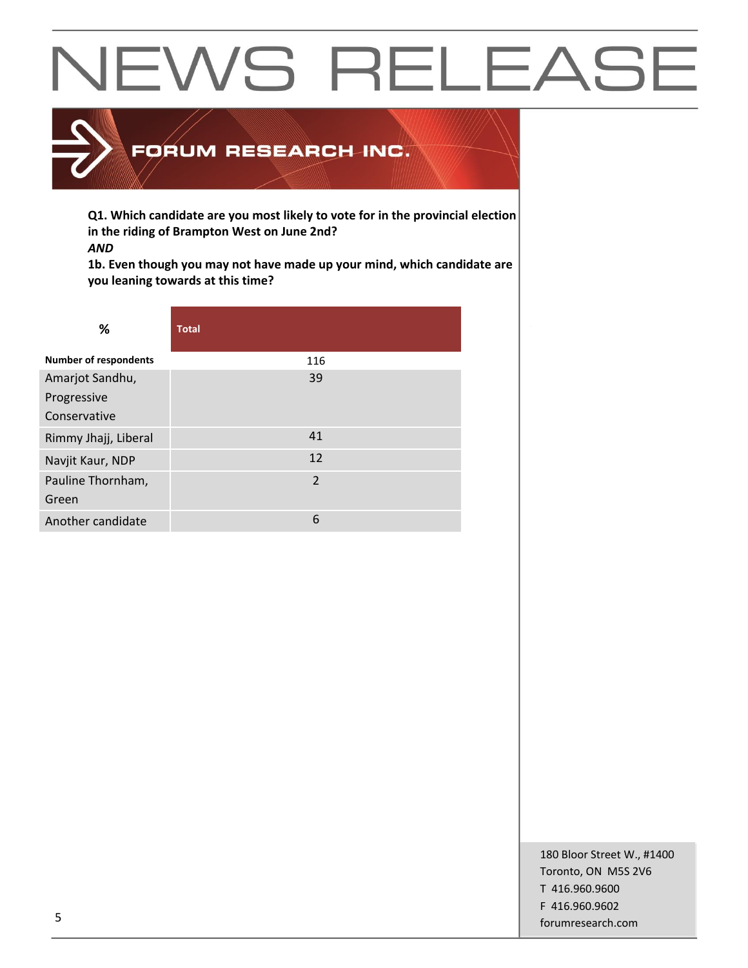

**Q1. Which candidate are you most likely to vote for in the provincial election in the riding of Brampton West on June 2nd?** *AND*

**1b. Even though you may not have made up your mind, which candidate are you leaning towards at this time?**

| %                            | <b>Total</b>   |
|------------------------------|----------------|
| <b>Number of respondents</b> | 116            |
| Amarjot Sandhu,              | 39             |
| Progressive                  |                |
| Conservative                 |                |
| Rimmy Jhajj, Liberal         | 41             |
| Navjit Kaur, NDP             | 12             |
| Pauline Thornham,            | $\overline{2}$ |
| Green                        |                |
| Another candidate            | 6              |

180 Bloor Street W., #1400 Toronto, ON M5S 2V6 T 416.960.9600 F 416.960.9602 forumresearch.com and the set of the set of the set of the set of the set of the set of the set of the set of the set of the set of the set of the set of the set of the set of the set of the set of the set of the set of th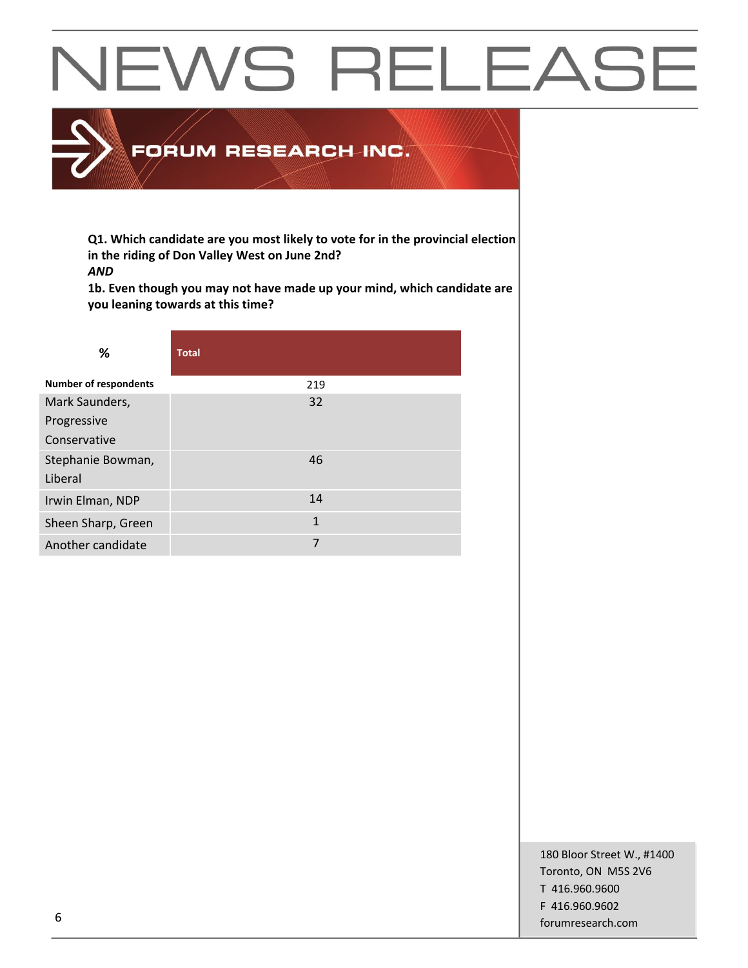### FORUM RESEARCH INC.

**Q1. Which candidate are you most likely to vote for in the provincial election in the riding of Don Valley West on June 2nd?** *AND*

**1b. Even though you may not have made up your mind, which candidate are you leaning towards at this time?**

| ℅                            | <b>Total</b> |
|------------------------------|--------------|
| <b>Number of respondents</b> | 219          |
| Mark Saunders,               | 32           |
| Progressive                  |              |
| Conservative                 |              |
| Stephanie Bowman,<br>Liberal | 46           |
| Irwin Elman, NDP             | 14           |
| Sheen Sharp, Green           | 1            |
| Another candidate            | 7            |

180 Bloor Street W., #1400 Toronto, ON M5S 2V6 T 416.960.9600 F 416.960.9602 forumresearch.com 6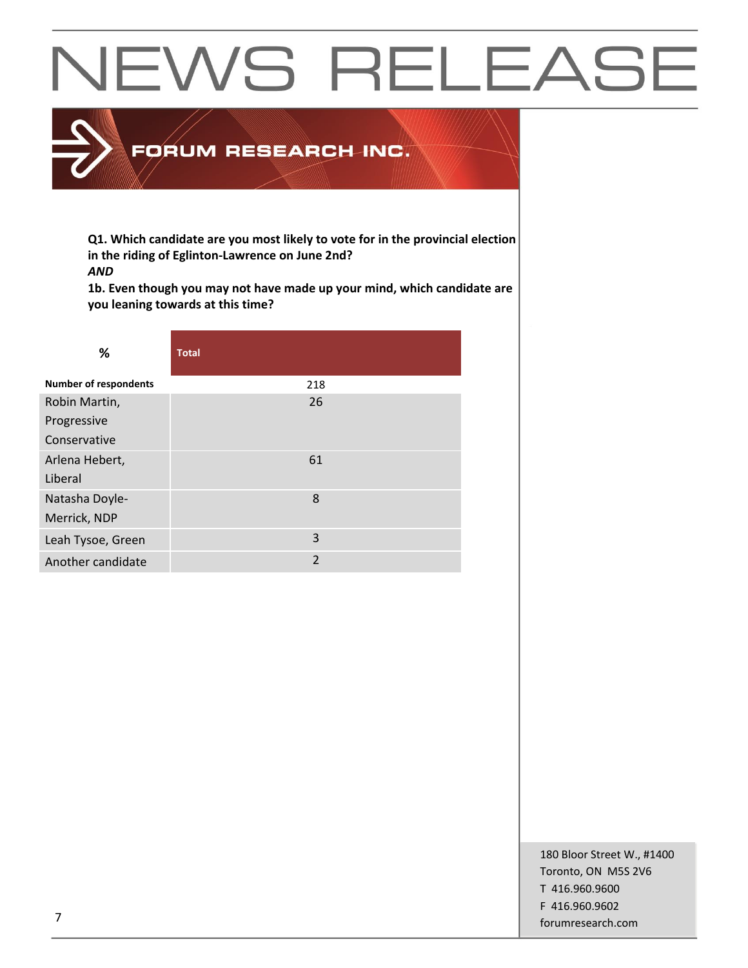### FORUM RESEARCH INC.

**Q1. Which candidate are you most likely to vote for in the provincial election in the riding of Eglinton-Lawrence on June 2nd?** *AND*

**1b. Even though you may not have made up your mind, which candidate are you leaning towards at this time?**

| ℅                            | <b>Total</b>   |
|------------------------------|----------------|
| <b>Number of respondents</b> | 218            |
| Robin Martin,                | 26             |
| Progressive                  |                |
| Conservative                 |                |
| Arlena Hebert,               | 61             |
| Liberal                      |                |
| Natasha Doyle-               | 8              |
| Merrick, NDP                 |                |
| Leah Tysoe, Green            | 3              |
| Another candidate            | $\overline{2}$ |

180 Bloor Street W., #1400 Toronto, ON M5S 2V6 T 416.960.9600 F 416.960.9602 for the contract of the contract of the contract of the contract of the contract of the contract of the contract of the contract of the contract of the contract of the contract of the contract of the contract of the contra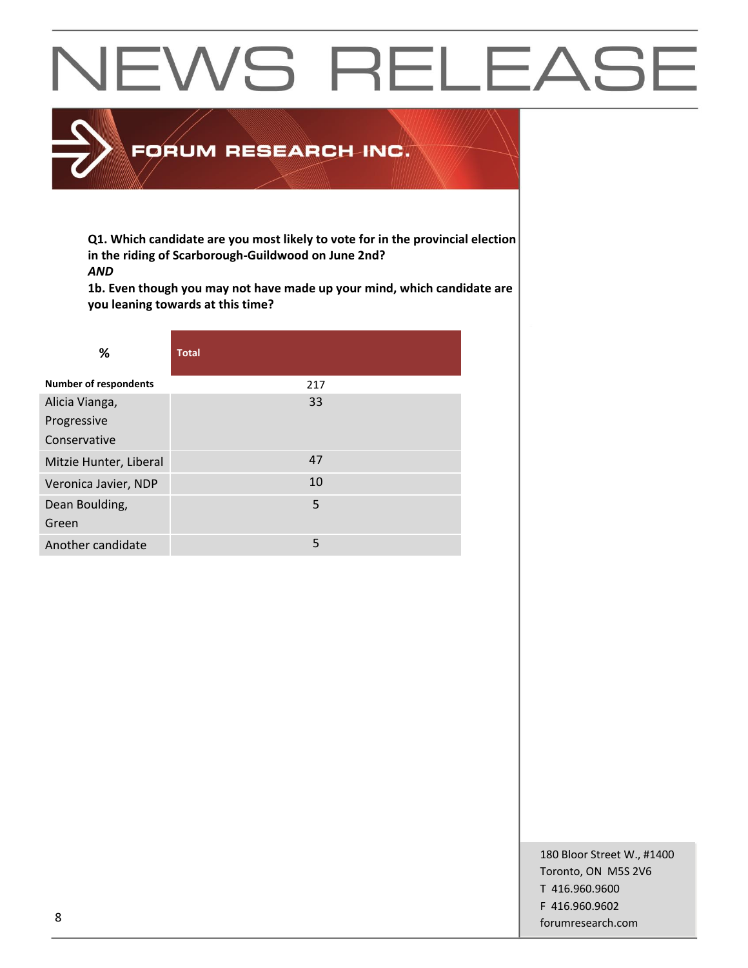### FORUM RESEARCH INC.

**Q1. Which candidate are you most likely to vote for in the provincial election in the riding of Scarborough-Guildwood on June 2nd?** *AND*

**1b. Even though you may not have made up your mind, which candidate are you leaning towards at this time?**

| %                            | <b>Total</b> |
|------------------------------|--------------|
| <b>Number of respondents</b> | 217          |
| Alicia Vianga,               | 33           |
| Progressive                  |              |
| Conservative                 |              |
| Mitzie Hunter, Liberal       | 47           |
| Veronica Javier, NDP         | 10           |
| Dean Boulding,               | 5            |
| Green                        |              |
| Another candidate            | 5            |

180 Bloor Street W., #1400 Toronto, ON M5S 2V6 T 416.960.9600 F 416.960.9602 example and the state of the state of the state of the state of the state of the state of the state of the state of the state of the state of the state of the state of the state of the state of the state of the state of th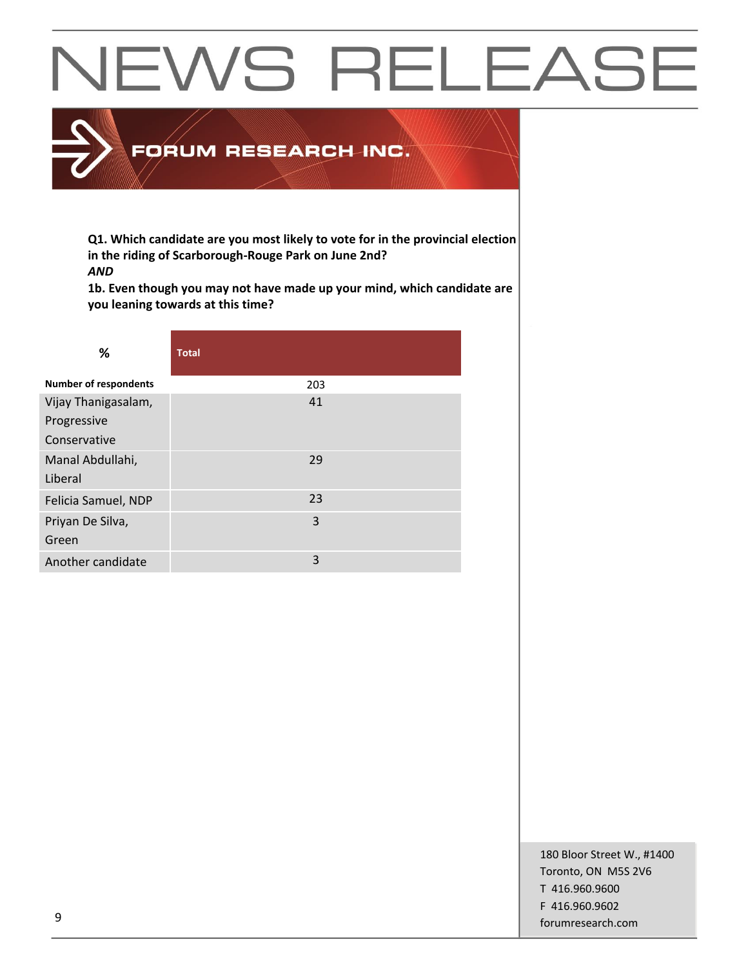### FORUM RESEARCH INC.

**Q1. Which candidate are you most likely to vote for in the provincial election in the riding of Scarborough-Rouge Park on June 2nd?** *AND*

**1b. Even though you may not have made up your mind, which candidate are you leaning towards at this time?**

| %                            | <b>Total</b> |
|------------------------------|--------------|
| <b>Number of respondents</b> | 203          |
| Vijay Thanigasalam,          | 41           |
| Progressive                  |              |
| Conservative                 |              |
| Manal Abdullahi,             | 29           |
| Liberal                      |              |
| Felicia Samuel, NDP          | 23           |
| Priyan De Silva,             | 3            |
| Green                        |              |
| Another candidate            | 3            |

180 Bloor Street W., #1400 Toronto, ON M5S 2V6 T 416.960.9600 F 416.960.9602 example to the contract of the contract of the contract of the contract of the contract of the contract of the contract of the contract of the contract of the contract of the contract of the contract of the contract of the